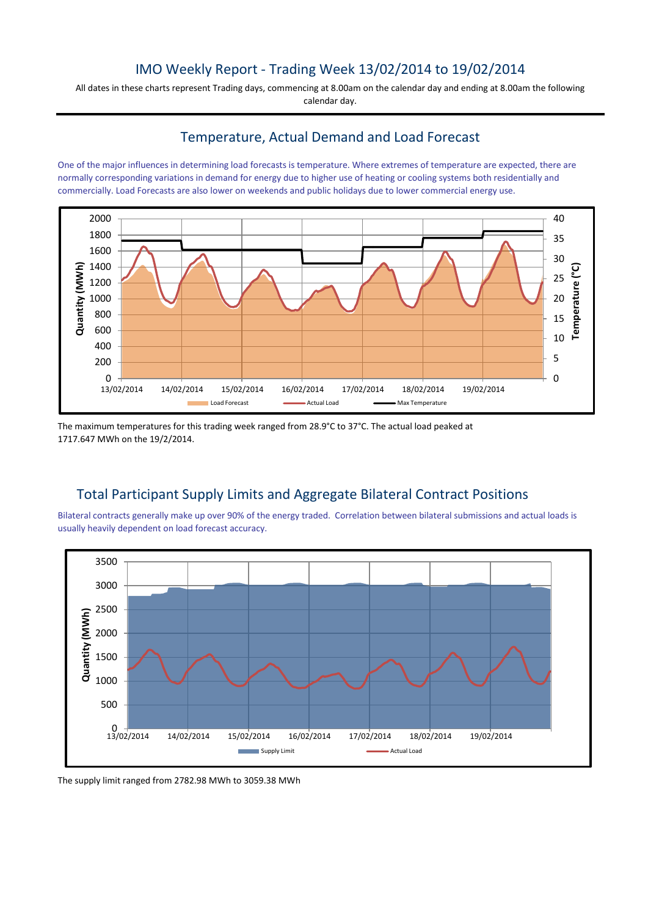## IMO Weekly Report - Trading Week 13/02/2014 to 19/02/2014

All dates in these charts represent Trading days, commencing at 8.00am on the calendar day and ending at 8.00am the following calendar day.

## Temperature, Actual Demand and Load Forecast

One of the major influences in determining load forecasts is temperature. Where extremes of temperature are expected, there are normally corresponding variations in demand for energy due to higher use of heating or cooling systems both residentially and commercially. Load Forecasts are also lower on weekends and public holidays due to lower commercial energy use.



The maximum temperatures for this trading week ranged from 28.9°C to 37°C. The actual load peaked at 1717.647 MWh on the 19/2/2014.

# Total Participant Supply Limits and Aggregate Bilateral Contract Positions

Bilateral contracts generally make up over 90% of the energy traded. Correlation between bilateral submissions and actual loads is usually heavily dependent on load forecast accuracy.



The supply limit ranged from 2782.98 MWh to 3059.38 MWh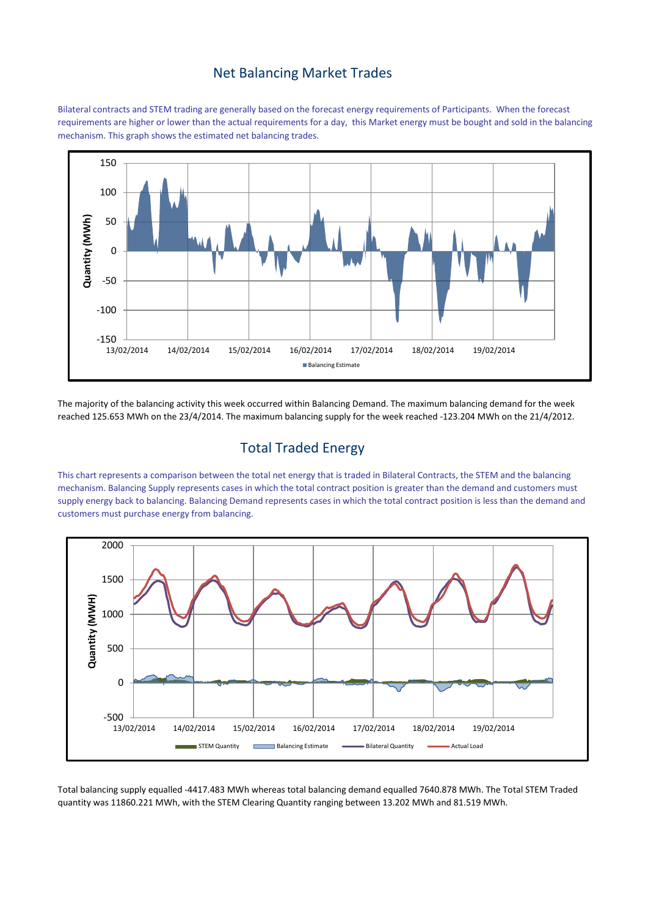#### Net Balancing Market Trades

Bilateral contracts and STEM trading are generally based on the forecast energy requirements of Participants. When the forecast requirements are higher or lower than the actual requirements for a day, this Market energy must be bought and sold in the balancing mechanism. This graph shows the estimated net balancing trades.



The majority of the balancing activity this week occurred within Balancing Demand. The maximum balancing demand for the week reached 125.653 MWh on the 23/4/2014. The maximum balancing supply for the week reached -123.204 MWh on the 21/4/2012.

## Total Traded Energy

This chart represents a comparison between the total net energy that is traded in Bilateral Contracts, the STEM and the balancing mechanism. Balancing Supply represents cases in which the total contract position is greater than the demand and customers must supply energy back to balancing. Balancing Demand represents cases in which the total contract position is less than the demand and customers must purchase energy from balancing.



Total balancing supply equalled -4417.483 MWh whereas total balancing demand equalled 7640.878 MWh. The Total STEM Traded quantity was 11860.221 MWh, with the STEM Clearing Quantity ranging between 13.202 MWh and 81.519 MWh.